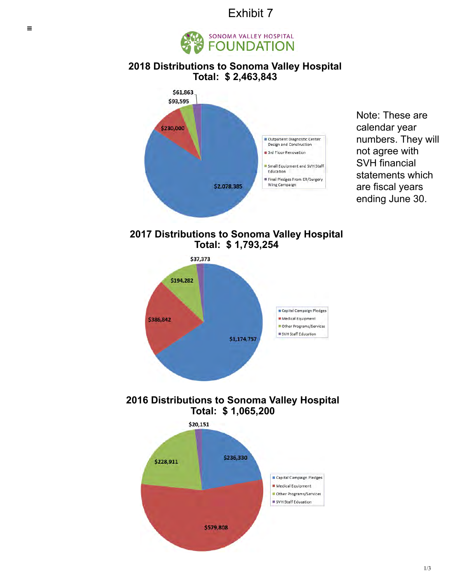## Exhibit 7



### **[2018 Distributions to](https://www.svhfoundation.com/who-we-are/) [Sonoma Valley Hospital](https://www.svhfoundation.com/ways-to-give/) T[otal: \\$ 2,463,843](https://www.svhfoundation.com/what-we-do/)**



Note: These are calendar year numbers. They will [not agree with](https://www.svhfoundation.com/ways-to-give/give-now) SVH financial statements which are fiscal years ending June 30.

**2017 Distributions to Sonoma Valley [Hospital](https://www.svhfoundation.com/who-we-are/foundation-board-team) Total: \$ 1,793,254**



**2016 Distributions to Sonoma Valley Hospital Total: \$ 1,065,200**

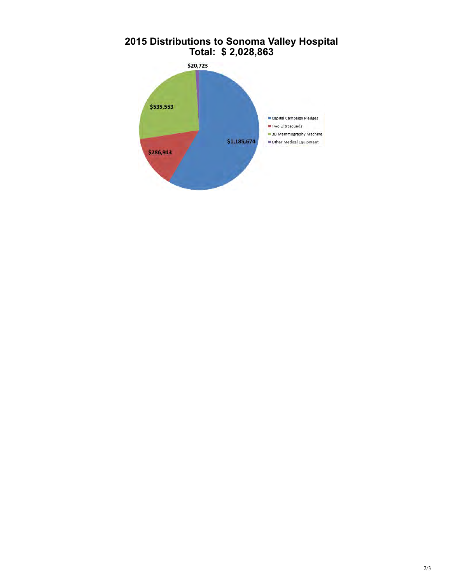

# **2015 Distributions to Sonoma Valley Hospital**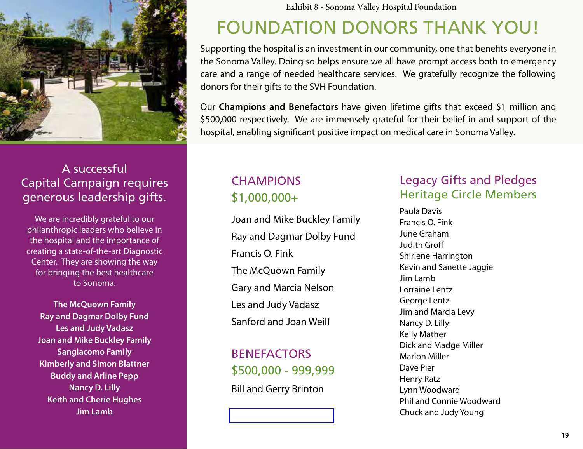

## A successful Capital Campaign requires generous leadership gifts.

We are incredibly grateful to our philanthropic leaders who believe in the hospital and the importance of creating a state-of-the-art Diagnostic Center. They are showing the way for bringing the best healthcare to Sonoma.

**The McQuown Family Ray and Dagmar Dolby Fund Les and Judy Vadasz Joan and Mike Buckley Family Sangiacomo Family Kimberly and Simon Blattner Buddy and Arline Pepp Nancy D. Lilly Keith and Cherie Hughes Jim Lamb**

Exhibit 8 - Sonoma Valley Hospital Foundation

# FOUNDATION DONORS THANK YOU!

Supporting the hospital is an investment in our community, one that benefits everyone in the Sonoma Valley. Doing so helps ensure we all have prompt access both to emergency care and a range of needed healthcare services. We gratefully recognize the following donors for their gifts to the SVH Foundation.

Our **Champions and Benefactors** have given lifetime gifts that exceed \$1 million and \$500,000 respectively. We are immensely grateful for their belief in and support of the hospital, enabling significant positive impact on medical care in Sonoma Valley.

# **CHAMPIONS** \$1,000,000+

Joan and Mike Buckley Family Ray and Dagmar Dolby Fund Francis O. Fink The McQuown Family Gary and Marcia Nelson Les and Judy Vadasz Sanford and Joan Weill

**BENFFACTORS** \$500,000 - 999,999 Bill and Gerry Brinton

## Legacy Gifts and Pledges Heritage Circle Members

Paula Davis Francis O. Fink June Graham Judith Groff Shirlene Harrington Kevin and Sanette Jaggie Jim Lamb Lorraine Lentz George Lentz Jim and Marcia Levy Nancy D. Lilly Kelly Mather Dick and Madge Miller Marion Miller Dave Pier Henry Ratz Lynn Woodward Phil and Connie Woodward Chuck and Judy Young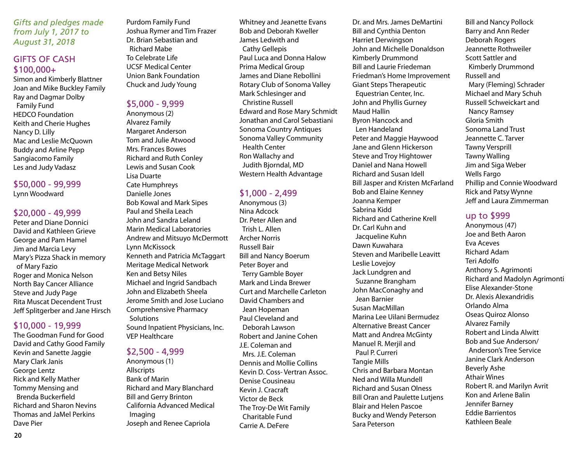*Gifts and pledges made from July 1, 2017 to August 31, 2018*

### GIFTS OF CASH \$100,000+

Simon and Kimberly Blattner Joan and Mike Buckley Family Ray and Dagmar Dolby Family Fund HEDCO Foundation Keith and Cherie Hughes Nancy D. Lilly Mac and Leslie McQuown Buddy and Arline Pepp Sangiacomo Family Les and Judy Vadasz

#### \$50,000 - 99,999 Lynn Woodward

#### \$20,000 - 49,999

Peter and Diane Donnici David and Kathleen Grieve George and Pam Hamel Jim and Marcia Levy Mary's Pizza Shack in memory of Mary Fazio Roger and Monica Nelson North Bay Cancer Alliance Steve and Judy Page Rita Muscat Decendent Trust Jeff Splitgerber and Jane Hirsch

#### \$10,000 - 19,999

The Goodman Fund for Good David and Cathy Good Family Kevin and Sanette Jaggie Mary Clark Janis George Lentz Rick and Kelly Mather Tommy Mensing and Brenda Buckerfield Richard and Sharon Nevins Thomas and JaMel Perkins Dave Pier

Purdom Family Fund Joshua Rymer and Tim Frazer Dr. Brian Sebastian and Richard Mabe To Celebrate Life UCSF Medical Center Union Bank Foundation Chuck and Judy Young

#### \$5,000 - 9,999

Anonymous (2) Alvarez Family Margaret Anderson Tom and Julie Atwood Mrs. Frances Bowes Richard and Ruth Conley Lewis and Susan Cook Lisa Duarte Cate Humphreys Danielle Jones Bob Kowal and Mark Sipes Paul and Sheila Leach John and Sandra Leland Marin Medical Laboratories Andrew and Mitsuyo McDermott Lynn McKissock Kenneth and Patricia McTaggart Meritage Medical Network Ken and Betsy Niles Michael and Ingrid Sandbach John and Elizabeth Sheela Jerome Smith and Jose Luciano Comprehensive Pharmacy **Solutions** Sound Inpatient Physicians, Inc. VEP Healthcare

#### \$2,500 - 4,999

Anonymous (1) **Allscripts** Bank of Marin Richard and Mary Blanchard Bill and Gerry Brinton California Advanced Medical Imaging Joseph and Renee Capriola

Whitney and Jeanette Evans Bob and Deborah Kweller James Ledwith and Cathy Gellepis Paul Luca and Donna Halow Prima Medical Group James and Diane Rebollini Rotary Club of Sonoma Valley Mark Schlesinger and Christine Russell Edward and Rose Mary Schmidt Jonathan and Carol Sebastiani Sonoma Country Antiques Sonoma Valley Community Health Center Ron Wallachy and Judith Bjorndal, MD Western Health Advantage

#### \$1,000 - 2,499

Anonymous (3) Nina Adcock Dr. Peter Allen and Trish L. Allen Archer Norris Russell Bair Bill and Nancy Boerum Peter Boyer and Terry Gamble Boyer Mark and Linda Brewer Curt and Marchelle Carleton David Chambers and Jean Hopeman Paul Cleveland and Deborah Lawson Robert and Janine Cohen J.E. Coleman and Mrs. J.F. Coleman Dennis and Mollie Collins Kevin D. Coss- Vertran Assoc. Denise Cousineau Kevin J. Cracraft Victor de Beck The Troy-De Wit Family Charitable Fund Carrie A. DeFere

Dr. and Mrs. James DeMartini Bill and Cynthia Denton Harriet Derwingson John and Michelle Donaldson Kimberly Drummond Bill and Laurie Friedeman Friedman's Home Improvement Giant Steps Therapeutic Equestrian Center, Inc. John and Phyllis Gurney Maud Hallin Byron Hancock and Len Handeland Peter and Maggie Haywood Jane and Glenn Hickerson Steve and Troy Hightower Daniel and Nana Howell Richard and Susan Idell Bill Jasper and Kristen McFarland Bob and Elaine Kenney Joanna Kemper Sabrina Kidd Richard and Catherine Krell Dr. Carl Kuhn and Jacqueline Kuhn Dawn Kuwahara Steven and Maribelle Leavitt Leslie Lovejoy Jack Lundgren and Suzanne Brangham John MacConaghy and Jean Barnier Susan MacMillan Marina Lee Uilani Bermudez Alternative Breast Cancer Matt and Andrea McGinty Manuel R. Merjil and Paul P. Curreri Tangie Mills Chris and Barbara Montan Ned and Willa Mundell Richard and Susan Olness Bill Oran and Paulette Lutjens Blair and Helen Pascoe Bucky and Wendy Peterson Sara Peterson

Bill and Nancy Pollock Barry and Ann Reder Deborah Rogers Jeannette Rothweiler Scott Sattler and Kimberly Drummond Russell and Mary (Fleming) Schrader Michael and Mary Schuh Russell Schweickart and Nancy Ramsey Gloria Smith Sonoma Land Trust Jeannette C. Tarver Tawny Versprill Tawny Walling Jim and Siga Weber Wells Fargo Phillip and Connie Woodward Rick and Patsy Wynne Jeff and Laura Zimmerman

#### up to \$999

Anonymous (47) Joe and Beth Aaron Eva Aceves Richard Adam Teri Adolfo Anthony S. Agrimonti Richard and Madolyn Agrimonti Elise Alexander-Stone Dr. Alexis Alexandridis Orlando Alma Oseas Quiroz Alonso Alvarez Family Robert and Linda Alwitt Bob and Sue Anderson/ Anderson's Tree Service Janine Clark Anderson Beverly Ashe Athair Wines Robert R. and Marilyn Avrit Kon and Arlene Balin Jennifer Barney Eddie Barrientos Kathleen Beale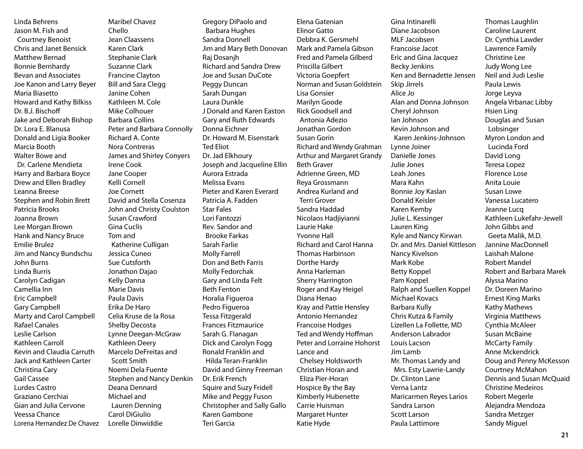Linda Behrens Jason M. Fish and Courtney Benoist Chris and Janet Bensick Matthew Bernad Bonnie Bernhardy Bevan and Associates Joe Kanon and Larry Beyer Maria Biasetto Howard and Kathy Bilkiss Dr. B.J. Bischoff Jake and Deborah Bishop Dr. Lora E. Blanusa Donald and Ligia Booker Marcia Booth Walter Bowe and Dr. Carlene Mendieta Harry and Barbara Boyce Drew and Ellen Bradley Leanna Breese Stephen and Robin Brett Patricia Brooks Joanna Brown Lee Morgan Brown Hank and Nancy Bruce Emilie Brulez Jim and Nancy Bundschu John Burns Linda Burris Carolyn Cadigan Camellia Inn Eric Campbell Gary Campbell Marty and Carol Campbell Rafael Canales Leslie Carlson Kathleen Carroll Kevin and Claudia Carruth Jack and Kathleen Carter Christina Cary Gail Cassee Lurdes Castro Graziano Cerchiai Gian and Julia Cervone Veessa Chance Lorena Hernandez De Chavez

Maribel Chavez Chello Jean Claassens Karen Clark Stephanie Clark Suzanne Clark Francine Clayton Bill and Sara Clegg Janine Cohen Kathleen M. Cole Mike Colhouer Barbara Collins Peter and Barbara Connolly Richard A. Conte Nora Contreras James and Shirley Conyers Irene Cook Jane Cooper Kelli Cornell Joe Cornett David and Stella Cosenza John and Christy Coulston Susan Crawford Gina Cuclis Tom and Katherine Culligan Jessica Cuneo Sue Cutsforth Jonathon Dajao Kelly Danna Marie Davis Paula Davis Erika De Haro Celia Kruse de la Rosa Shelby Decosta Lynne Deegan-McGraw Kathleen Deery Marcelo DeFreitas and Scott Smith Noemi Dela Fuente Stephen and Nancy Denkin Deana Dennard Michael and Lauren Denning Carol DiGiulio Lorelle Dinwiddie

Gregory DiPaolo and Barbara Hughes Sandra Donnell Jim and Mary Beth Donovan Raj Dosanjh Richard and Sandra Drew Joe and Susan DuCote Peggy Duncan Sarah Dungan Laura Dunkle J Donald and Karen Easton Gary and Ruth Edwards Donna Eichner Dr. Howard M. Eisenstark Ted Eliot Dr. Jad Elkhoury Joseph and Jacqueline Ellin Aurora Estrada Melissa Evans Pieter and Karen Everard Patricia A. Fadden Star Fales Lori Fantozzi Rev. Sandor and Brooke Farkas Sarah Farlie Molly Farrell Don and Beth Farris Molly Fedorchak Gary and Linda Felt Beth Fenton Horalia Figueroa Pedro Figueroa Tessa Fitzgerald Frances Fitzmaurice Sarah G. Flanagan Dick and Carolyn Fogg Ronald Franklin and Hilda Teran-Franklin David and Ginny Freeman Dr. Erik French Squire and Suzy Fridell Mike and Peggy Fuson Christopher and Sally Gallo Karen Gambone Teri Garcia

Elena Gatenian Elinor Gatto Debbra K. Gersmehl Mark and Pamela Gibson Fred and Pamela Gilberd Priscilla Gilbert Victoria Goepfert Norman and Susan Goldstein Lisa Gonsier Marilyn Goode Rick Goodsell and Antonia Adezio Jonathan Gordon Susan Gorin Richard and Wendy Grahman Arthur and Margaret Grandy Beth Graver Adrienne Green, MD Reya Grossmann Andrea Kurland and Terri Grover Sandra Haddad Nicolaos Hadjiyianni Laurie Hake Yvonne Hall Richard and Carol Hanna Thomas Harbinson Dorthe Hardy Anna Harleman Sherry Harrington Roger and Kay Heigel Diana Henao Kray and Pattie Hensley Antonio Hernandez Francoise Hodges Ted and Wendy Hoffman Peter and Lorraine Hohorst Lance and Chelsey Holdsworth Christian Horan and Eliza Pier-Horan Hospice By the Bay Kimberly Hubenette Carrie Huisman Margaret Hunter Katie Hyde

Gina Intinarelli Diane Jacobson MLF Jacobsen Francoise Jacot Eric and Gina Jacquez Becky Jenkins Ken and Bernadette Jensen Skip Jirrels Alice Jo Alan and Donna Johnson Cheryl Johnson Ian Johnson Kevin Johnson and Karen Jenkins-Johnson Lynne Joiner Danielle Jones Julie Jones Leah Jones Mara Kahn Bonnie Joy Kaslan Donald Keisler Karen Kemby Julie L. Kessinger Lauren King Kyle and Nancy Kirwan Dr. and Mrs. Daniel Kittleson Nancy Kivelson Mark Kobe Betty Koppel Pam Koppel Ralph and Suellen Koppel Michael Kovacs Barbara Kully Chris Kutza & Family Lizellen La Follette, MD Anderson Labrador Louis Lacson Jim Lamb Mr. Thomas Landy and Mrs. Esty Lawrie-Landy Dr. Clinton Lane Verna Lantz Maricarmen Reyes Larios Sandra Larson Scott Larson Paula Lattimore

Thomas Laughlin Caroline Laurent Dr. Cynthia Lawder Lawrence Family Christine Lee Judy Wong Lee Neil and Judi Leslie Paula Lewis Jorge Leyva Angela Vrbanac Libby Hsien Ling Douglas and Susan Lobsinger Myron London and Lucinda Ford David Long Teresa Lopez Florence Lose Anita Louie Susan Lowe Vanessa Lucatero Jeanne Lucq Kathleen Lukefahr-Jewell John Gibbs and Geeta Malik, M.D. Jannine MacDonnell Laishah Malone Robert Mandel Robert and Barbara Marek Alyssa Marino Dr. Doreen Marino Ernest King Marks Kathy Mathews Virginia Matthews Cynthia McAleer Susan McBaine McCarty Family Anne Mckendrick Doug and Penny McKesson Courtney McMahon Dennis and Susan McQuaid Christine Medeiros Robert Megerle Alejandra Mendoza Sandra Metzger Sandy Miguel